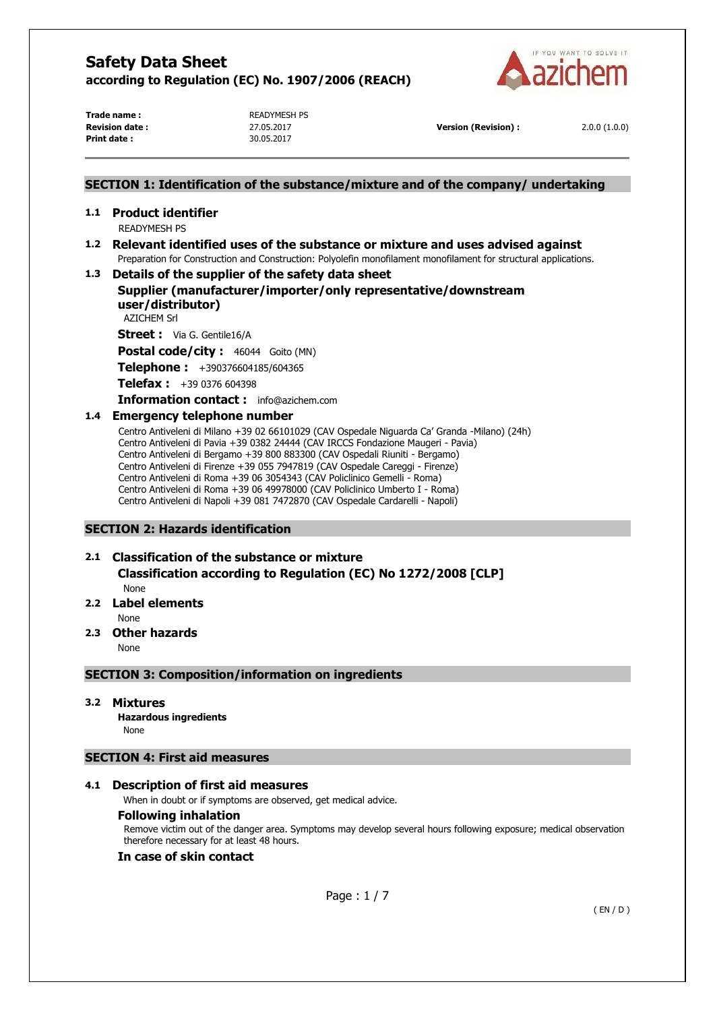

**Trade name : READYMESH PS Print date :** 30.05.2017

**Revision date :** 27.05.2017 **Version (Revision) :** 2.0.0 (1.0.0)

### **SECTION 1: Identification of the substance/mixture and of the company/ undertaking**

# **1.1 Product identifier**

READYMESH PS

## **1.2 Relevant identified uses of the substance or mixture and uses advised against**  Preparation for Construction and Construction: Polyolefin monofilament monofilament for structural applications.

### **1.3 Details of the supplier of the safety data sheet**

# **Supplier (manufacturer/importer/only representative/downstream user/distributor)**

AZICHEM Srl

**Street :** Via G. Gentile16/A

Postal code/city : 46044 Goito (MN)

**Telephone :** +390376604185/604365

**Telefax :** +39 0376 604398

### **Information contact :** info@azichem.com

### **1.4 Emergency telephone number**

Centro Antiveleni di Milano +39 02 66101029 (CAV Ospedale Niguarda Ca' Granda -Milano) (24h) Centro Antiveleni di Pavia +39 0382 24444 (CAV IRCCS Fondazione Maugeri - Pavia) Centro Antiveleni di Bergamo +39 800 883300 (CAV Ospedali Riuniti - Bergamo) Centro Antiveleni di Firenze +39 055 7947819 (CAV Ospedale Careggi - Firenze) Centro Antiveleni di Roma +39 06 3054343 (CAV Policlinico Gemelli - Roma) Centro Antiveleni di Roma +39 06 49978000 (CAV Policlinico Umberto I - Roma) Centro Antiveleni di Napoli +39 081 7472870 (CAV Ospedale Cardarelli - Napoli)

### **SECTION 2: Hazards identification**

# **2.1 Classification of the substance or mixture**

**Classification according to Regulation (EC) No 1272/2008 [CLP]** 

None

## **2.2 Label elements**

None

### **2.3 Other hazards**

None

### **SECTION 3: Composition/information on ingredients**

### **3.2 Mixtures**

**Hazardous ingredients** None

### **SECTION 4: First aid measures**

### **4.1 Description of first aid measures**

When in doubt or if symptoms are observed, get medical advice.

### **Following inhalation**

Remove victim out of the danger area. Symptoms may develop several hours following exposure; medical observation therefore necessary for at least 48 hours.

### **In case of skin contact**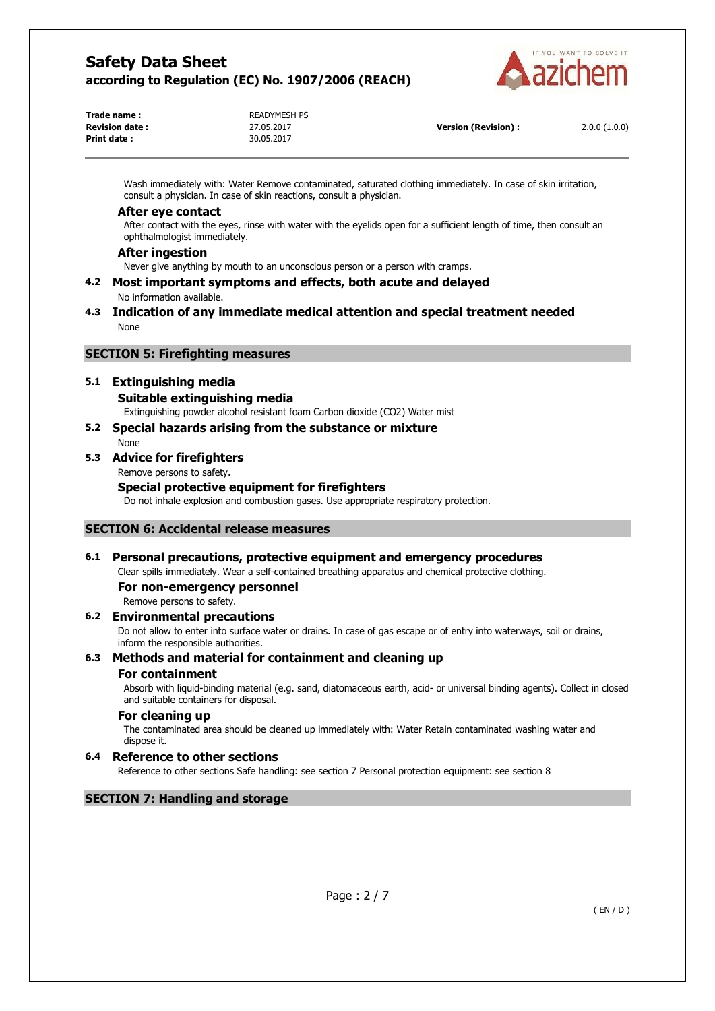

| Trade name :           | <b>READYMESH PS</b> |
|------------------------|---------------------|
| <b>Revision date :</b> | 27.05.2017          |
| Print date :           | 30.05.2017          |
|                        |                     |

**Version (Revision) :** 2.0.0 (1.0.0)

Wash immediately with: Water Remove contaminated, saturated clothing immediately. In case of skin irritation, consult a physician. In case of skin reactions, consult a physician.

#### **After eye contact**

After contact with the eyes, rinse with water with the eyelids open for a sufficient length of time, then consult an ophthalmologist immediately.

### **After ingestion**

Never give anything by mouth to an unconscious person or a person with cramps.

**4.2 Most important symptoms and effects, both acute and delayed**  No information available.

### **4.3 Indication of any immediate medical attention and special treatment needed**  None

## **SECTION 5: Firefighting measures**

## **5.1 Extinguishing media**

### **Suitable extinguishing media**

Extinguishing powder alcohol resistant foam Carbon dioxide (CO2) Water mist

#### **5.2 Special hazards arising from the substance or mixture**  None

# **5.3 Advice for firefighters**

Remove persons to safety.

### **Special protective equipment for firefighters**

Do not inhale explosion and combustion gases. Use appropriate respiratory protection.

### **SECTION 6: Accidental release measures**

## **6.1 Personal precautions, protective equipment and emergency procedures**

Clear spills immediately. Wear a self-contained breathing apparatus and chemical protective clothing.

**For non-emergency personnel** 

Remove persons to safety.

### **6.2 Environmental precautions**

Do not allow to enter into surface water or drains. In case of gas escape or of entry into waterways, soil or drains, inform the responsible authorities.

### **6.3 Methods and material for containment and cleaning up**

### **For containment**

Absorb with liquid-binding material (e.g. sand, diatomaceous earth, acid- or universal binding agents). Collect in closed and suitable containers for disposal.

### **For cleaning up**

The contaminated area should be cleaned up immediately with: Water Retain contaminated washing water and dispose it.

## **6.4 Reference to other sections**

Reference to other sections Safe handling: see section 7 Personal protection equipment: see section 8

### **SECTION 7: Handling and storage**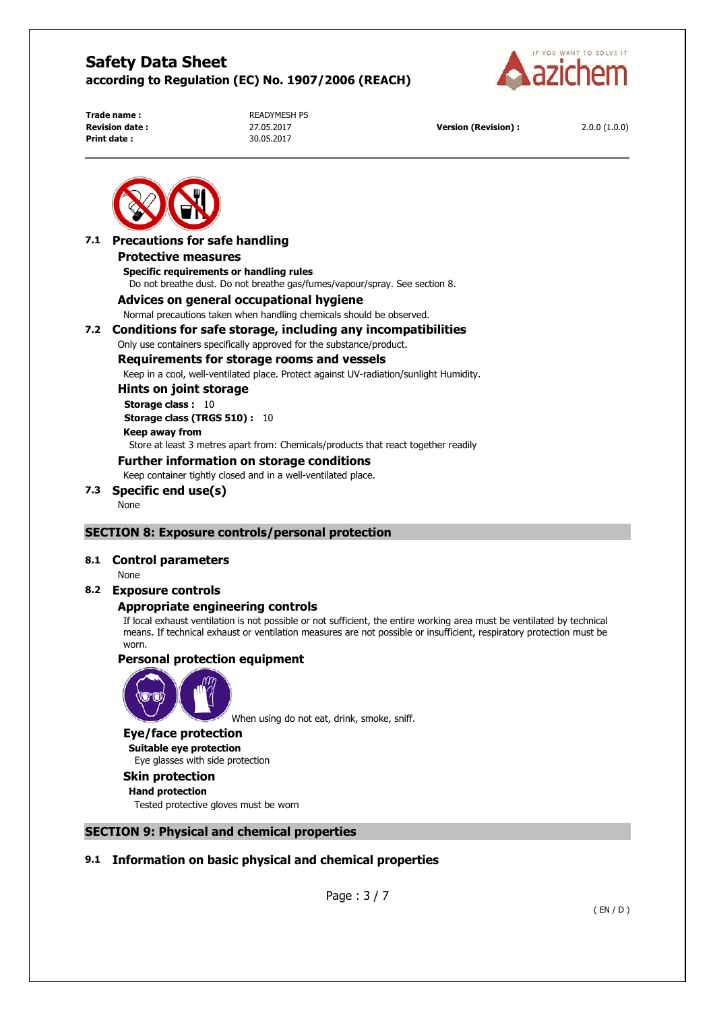

**Print date :** 30.05.2017

**Trade name : READYMESH PS** 

**Revision date :** 27.05.2017 **Version (Revision) :** 2.0.0 (1.0.0)



### **7.1 Precautions for safe handling Protective measures Specific requirements or handling rules**

Do not breathe dust. Do not breathe gas/fumes/vapour/spray. See section 8.

### **Advices on general occupational hygiene**

Normal precautions taken when handling chemicals should be observed.

### **7.2 Conditions for safe storage, including any incompatibilities**

Only use containers specifically approved for the substance/product.

### **Requirements for storage rooms and vessels**

Keep in a cool, well-ventilated place. Protect against UV-radiation/sunlight Humidity.

## **Hints on joint storage**

**Storage class :** 10 **Storage class (TRGS 510) :** 10 **Keep away from**  Store at least 3 metres apart from: Chemicals/products that react together readily

## **Further information on storage conditions**

Keep container tightly closed and in a well-ventilated place.

# **7.3 Specific end use(s)**

None

## **SECTION 8: Exposure controls/personal protection**

### **8.1 Control parameters**

None

### **8.2 Exposure controls**

## **Appropriate engineering controls**

If local exhaust ventilation is not possible or not sufficient, the entire working area must be ventilated by technical means. If technical exhaust or ventilation measures are not possible or insufficient, respiratory protection must be worn.

### **Personal protection equipment**



When using do not eat, drink, smoke, sniff.

#### **Eye/face protection**

**Suitable eye protection**  Eye glasses with side protection

### **Skin protection**

**Hand protection**  Tested protective gloves must be worn

### **SECTION 9: Physical and chemical properties**

## **9.1 Information on basic physical and chemical properties**

Page : 3 / 7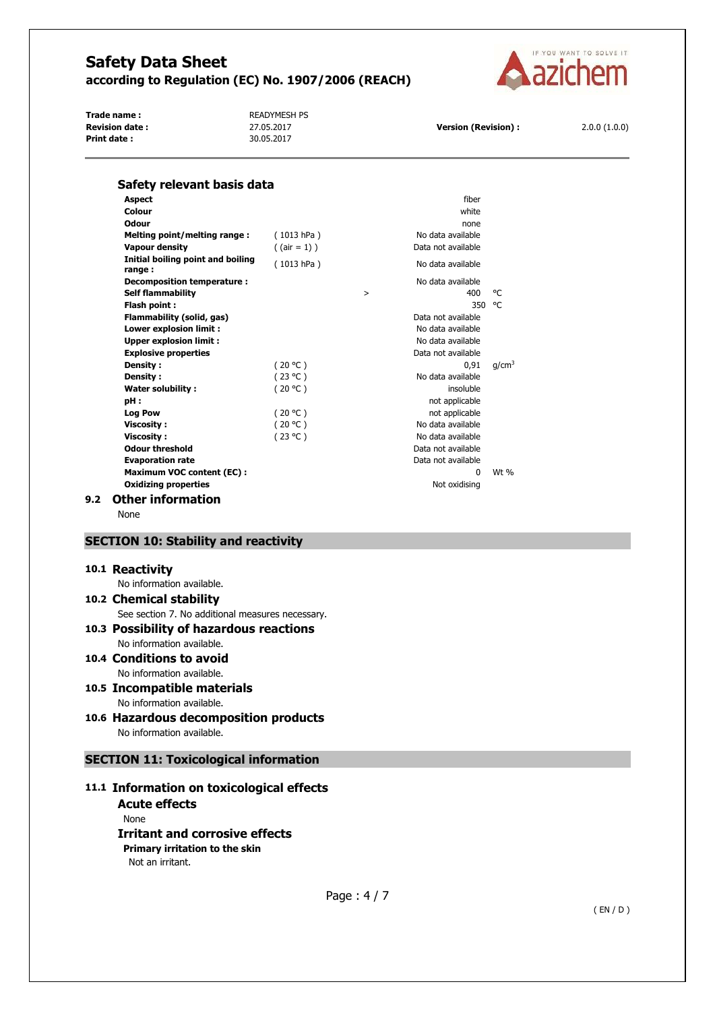

Trade name : **All Property Accord PS** READYMESH PS **Revision date :** 27.05.2017 **Version (Revision) :** 2.0.0 (1.0.0)<br>**Print date :** 2.0.0 (1.0.0) 30.05.2017 **Print date :** 



|            |                                                                        | fiber              |                                                                                                                                                                                                      |
|------------|------------------------------------------------------------------------|--------------------|------------------------------------------------------------------------------------------------------------------------------------------------------------------------------------------------------|
|            |                                                                        | white              |                                                                                                                                                                                                      |
|            |                                                                        | none               |                                                                                                                                                                                                      |
| (1013 hPa) |                                                                        | No data available  |                                                                                                                                                                                                      |
| (1013 hPa) |                                                                        | No data available  |                                                                                                                                                                                                      |
|            |                                                                        | No data available  |                                                                                                                                                                                                      |
|            |                                                                        |                    | °C                                                                                                                                                                                                   |
|            |                                                                        |                    | °€                                                                                                                                                                                                   |
|            |                                                                        |                    |                                                                                                                                                                                                      |
|            |                                                                        |                    |                                                                                                                                                                                                      |
|            |                                                                        |                    |                                                                                                                                                                                                      |
|            |                                                                        |                    |                                                                                                                                                                                                      |
|            |                                                                        |                    | q/cm <sup>3</sup>                                                                                                                                                                                    |
|            |                                                                        |                    |                                                                                                                                                                                                      |
|            |                                                                        |                    |                                                                                                                                                                                                      |
|            |                                                                        |                    |                                                                                                                                                                                                      |
|            |                                                                        |                    |                                                                                                                                                                                                      |
| (20 °C)    |                                                                        | No data available  |                                                                                                                                                                                                      |
|            |                                                                        | No data available  |                                                                                                                                                                                                      |
|            |                                                                        | Data not available |                                                                                                                                                                                                      |
|            |                                                                        | Data not available |                                                                                                                                                                                                      |
|            |                                                                        | <sup>0</sup>       | $Wt$ %                                                                                                                                                                                               |
|            |                                                                        | Not oxidising      |                                                                                                                                                                                                      |
|            |                                                                        |                    |                                                                                                                                                                                                      |
|            | $($ (air = 1) )<br>(20 °C)<br>(23 °C)<br>(20 °C)<br>(20 °C)<br>(23 °C) | $\geq$             | Data not available<br>400<br>350<br>Data not available<br>No data available<br>No data available<br>Data not available<br>0.91<br>No data available<br>insoluble<br>not applicable<br>not applicable |

None

### **SECTION 10: Stability and reactivity**

#### **10.1 Reactivity**

No information available.

## **10.2 Chemical stability**

See section 7. No additional measures necessary.

#### **10.3 Possibility of hazardous reactions**  No information available.

- **10.4 Conditions to avoid**  No information available.
- **10.5 Incompatible materials**  No information available.
- **10.6 Hazardous decomposition products**  No information available.

## **SECTION 11: Toxicological information**

## **11.1 Information on toxicological effects**

**Acute effects**  None **Irritant and corrosive effects Primary irritation to the skin**  Not an irritant.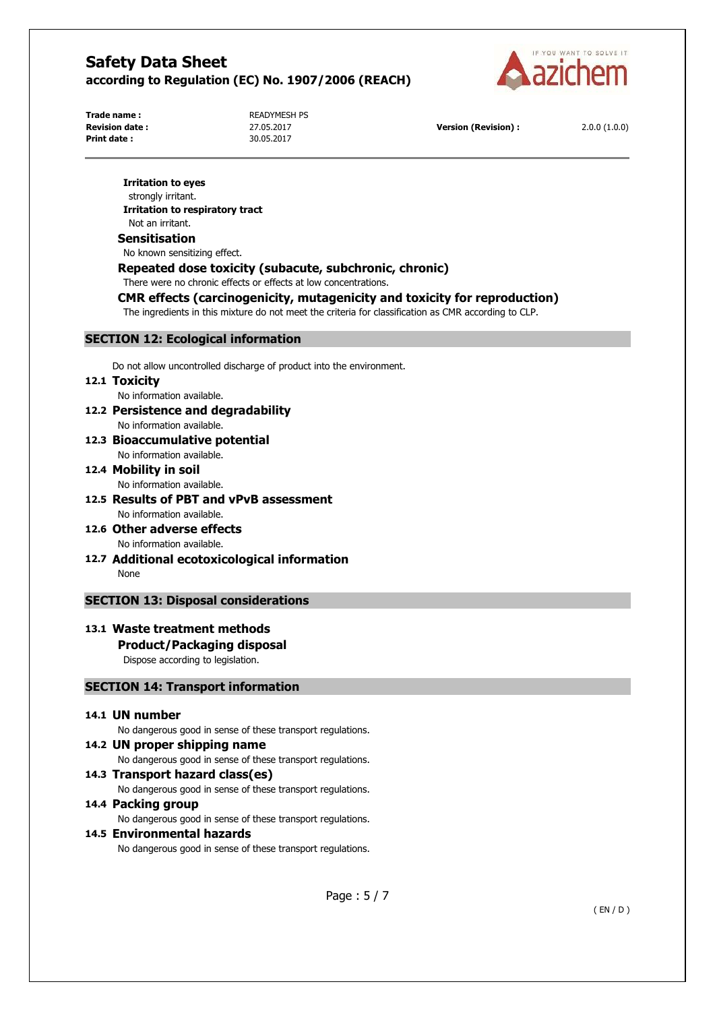

**Print date :** 30.05.2017

**Trade name : READYMESH PS** 

**Revision date :** 27.05.2017 **Version (Revision) :** 2.0.0 (1.0.0)

#### **Irritation to eyes**

strongly irritant. **Irritation to respiratory tract**  Not an irritant.

#### **Sensitisation**

No known sensitizing effect.

### **Repeated dose toxicity (subacute, subchronic, chronic)**

There were no chronic effects or effects at low concentrations.

## **CMR effects (carcinogenicity, mutagenicity and toxicity for reproduction)**

The ingredients in this mixture do not meet the criteria for classification as CMR according to CLP.

### **SECTION 12: Ecological information**

Do not allow uncontrolled discharge of product into the environment.

### **12.1 Toxicity**

No information available.

- **12.2 Persistence and degradability**  No information available.
- **12.3 Bioaccumulative potential**  No information available.
- **12.4 Mobility in soil**  No information available.
- **12.5 Results of PBT and vPvB assessment**  No information available.
- **12.6 Other adverse effects**  No information available.
- **12.7 Additional ecotoxicological information**  None

### **SECTION 13: Disposal considerations**

# **13.1 Waste treatment methods**

## **Product/Packaging disposal**

Dispose according to legislation.

### **SECTION 14: Transport information**

### **14.1 UN number**

No dangerous good in sense of these transport regulations.

### **14.2 UN proper shipping name**

No dangerous good in sense of these transport regulations.

#### **14.3 Transport hazard class(es)**

No dangerous good in sense of these transport regulations.

#### **14.4 Packing group**

No dangerous good in sense of these transport regulations.

## **14.5 Environmental hazards**

No dangerous good in sense of these transport regulations.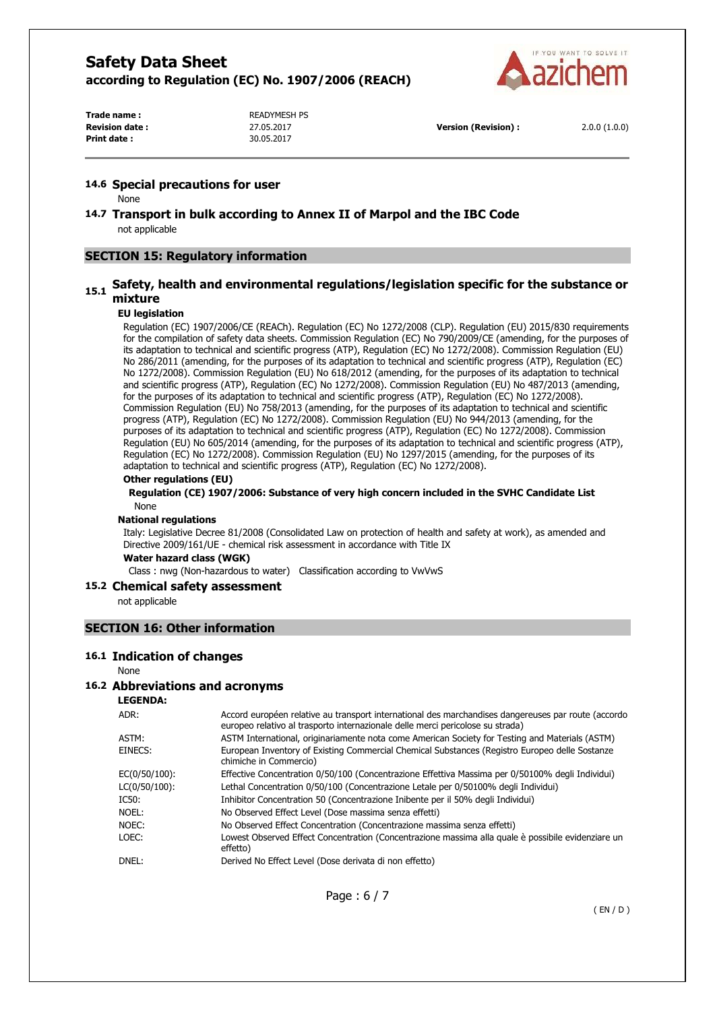

**Print date :** 30.05.2017

Trade name : **READYMESH PS** 

**Revision date :** 27.05.2017 **Version (Revision) :** 2.0.0 (1.0.0)

### **14.6 Special precautions for user**

None

**14.7 Transport in bulk according to Annex II of Marpol and the IBC Code**  not applicable

## **SECTION 15: Regulatory information**

# **15.1 Safety, health and environmental regulations/legislation specific for the substance or mixture**

### **EU legislation**

Regulation (EC) 1907/2006/CE (REACh). Regulation (EC) No 1272/2008 (CLP). Regulation (EU) 2015/830 requirements for the compilation of safety data sheets. Commission Regulation (EC) No 790/2009/CE (amending, for the purposes of its adaptation to technical and scientific progress (ATP), Regulation (EC) No 1272/2008). Commission Regulation (EU) No 286/2011 (amending, for the purposes of its adaptation to technical and scientific progress (ATP), Regulation (EC) No 1272/2008). Commission Regulation (EU) No 618/2012 (amending, for the purposes of its adaptation to technical and scientific progress (ATP), Regulation (EC) No 1272/2008). Commission Regulation (EU) No 487/2013 (amending, for the purposes of its adaptation to technical and scientific progress (ATP), Regulation (EC) No 1272/2008). Commission Regulation (EU) No 758/2013 (amending, for the purposes of its adaptation to technical and scientific progress (ATP), Regulation (EC) No 1272/2008). Commission Regulation (EU) No 944/2013 (amending, for the purposes of its adaptation to technical and scientific progress (ATP), Regulation (EC) No 1272/2008). Commission Regulation (EU) No 605/2014 (amending, for the purposes of its adaptation to technical and scientific progress (ATP), Regulation (EC) No 1272/2008). Commission Regulation (EU) No 1297/2015 (amending, for the purposes of its adaptation to technical and scientific progress (ATP), Regulation (EC) No 1272/2008).

#### **Other regulations (EU)**

#### **Regulation (CE) 1907/2006: Substance of very high concern included in the SVHC Candidate List**  None

#### **National regulations**

Italy: Legislative Decree 81/2008 (Consolidated Law on protection of health and safety at work), as amended and Directive 2009/161/UE - chemical risk assessment in accordance with Title IX

#### **Water hazard class (WGK)**

Class : nwg (Non-hazardous to water) Classification according to VwVwS

#### **15.2 Chemical safety assessment**

not applicable

### **SECTION 16: Other information**

#### **16.1 Indication of changes**

None

### **16.2 Abbreviations and acronyms**

**LEGENDA:**

| ADR:          | Accord européen relative au transport international des marchandises dangereuses par route (accordo<br>europeo relativo al trasporto internazionale delle merci pericolose su strada) |
|---------------|---------------------------------------------------------------------------------------------------------------------------------------------------------------------------------------|
| ASTM:         | ASTM International, originariamente nota come American Society for Testing and Materials (ASTM)                                                                                       |
| EINECS:       | European Inventory of Existing Commercial Chemical Substances (Registro Europeo delle Sostanze<br>chimiche in Commercio)                                                              |
| EC(0/50/100): | Effective Concentration 0/50/100 (Concentrazione Effettiva Massima per 0/50100% degli Individui)                                                                                      |
| LC(0/50/100): | Lethal Concentration 0/50/100 (Concentrazione Letale per 0/50100% degli Individui)                                                                                                    |
| IC50:         | Inhibitor Concentration 50 (Concentrazione Inibente per il 50% degli Individui)                                                                                                       |
| Noel:         | No Observed Effect Level (Dose massima senza effetti)                                                                                                                                 |
| NOEC:         | No Observed Effect Concentration (Concentrazione massima senza effetti)                                                                                                               |
| LOEC:         | Lowest Observed Effect Concentration (Concentrazione massima alla quale è possibile evidenziare un<br>effetto)                                                                        |
| DNEL:         | Derived No Effect Level (Dose derivata di non effetto)                                                                                                                                |
|               |                                                                                                                                                                                       |